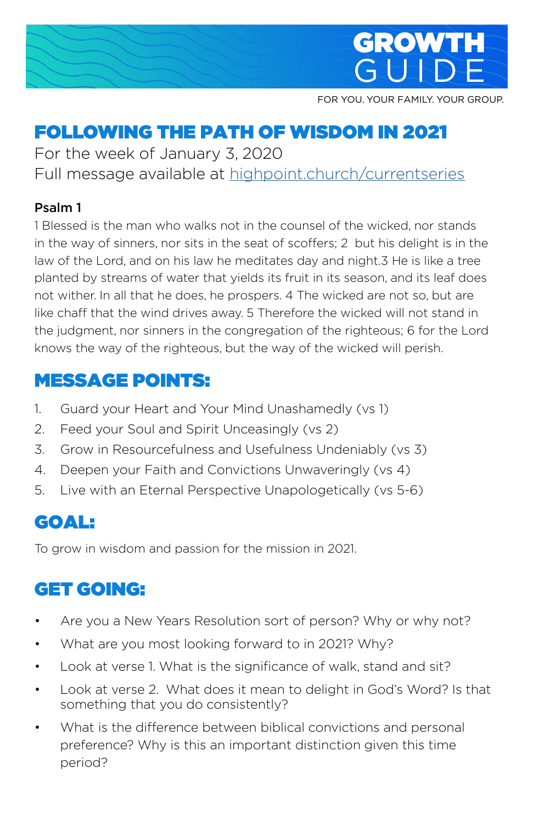

FOR YOU. YOUR FAMILY. YOUR GROUP.

# FOLLOWING THE PATH OF WISDOM IN 2021

For the week of January 3, 2020 Full message available at [highpoint.church/currentseries](http://highpoint.church/currentseries)

#### Psalm 1

1 Blessed is the man who walks not in the counsel of the wicked, nor stands in the way of sinners, nor sits in the seat of scoffers; 2 but his delight is in the law of the Lord, and on his law he meditates day and night.3 He is like a tree planted by streams of water that yields its fruit in its season, and its leaf does not wither. In all that he does, he prospers. 4 The wicked are not so, but are like chaff that the wind drives away. 5 Therefore the wicked will not stand in the judgment, nor sinners in the congregation of the righteous; 6 for the Lord knows the way of the righteous, but the way of the wicked will perish.

#### MESSAGE POINTS:

- 1. Guard your Heart and Your Mind Unashamedly (vs 1)
- 2. Feed your Soul and Spirit Unceasingly (vs 2)
- 3. Grow in Resourcefulness and Usefulness Undeniably (vs 3)
- 4. Deepen your Faith and Convictions Unwaveringly (vs 4)
- 5. Live with an Eternal Perspective Unapologetically (vs 5-6)

#### GOAL:

To grow in wisdom and passion for the mission in 2021.

#### GET GOING:

- Are you a New Years Resolution sort of person? Why or why not?
- What are you most looking forward to in 2021? Why?
- Look at verse 1. What is the significance of walk, stand and sit?
- Look at verse 2. What does it mean to delight in God's Word? Is that something that you do consistently?
- What is the difference between biblical convictions and personal preference? Why is this an important distinction given this time period?